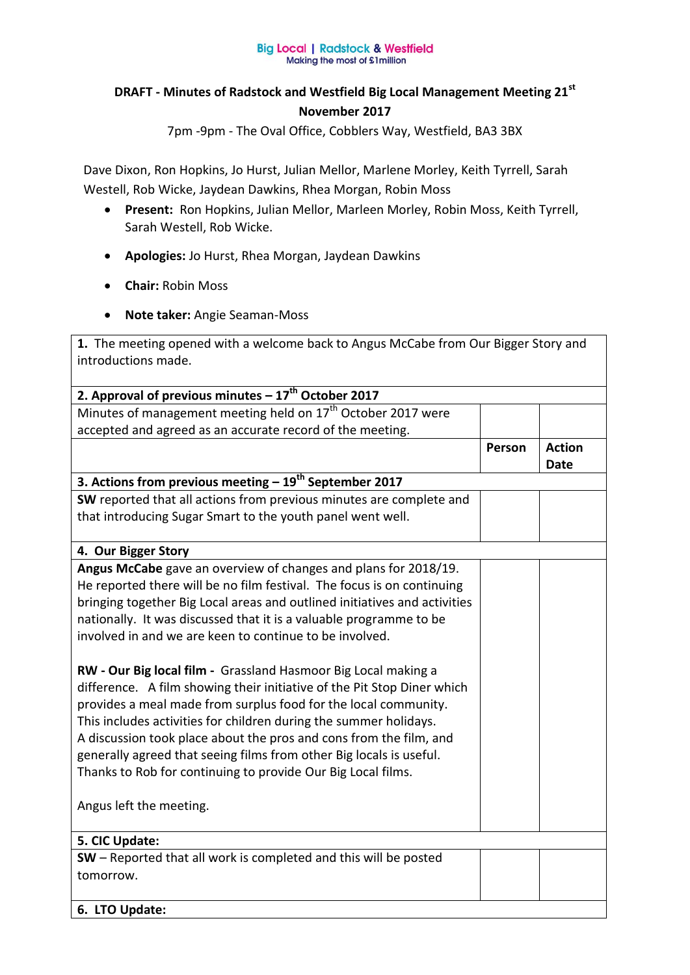## **Big Local | Radstock & Westfield** Making the most of £1 million

## **DRAFT - Minutes of Radstock and Westfield Big Local Management Meeting 21st November 2017**

7pm -9pm - The Oval Office, Cobblers Way, Westfield, BA3 3BX

Dave Dixon, Ron Hopkins, Jo Hurst, Julian Mellor, Marlene Morley, Keith Tyrrell, Sarah Westell, Rob Wicke, Jaydean Dawkins, Rhea Morgan, Robin Moss

- **Present:** Ron Hopkins, Julian Mellor, Marleen Morley, Robin Moss, Keith Tyrrell, Sarah Westell, Rob Wicke.
- **Apologies:** Jo Hurst, Rhea Morgan, Jaydean Dawkins
- **Chair:** Robin Moss
- **Note taker:** Angie Seaman-Moss

**1.** The meeting opened with a welcome back to Angus McCabe from Our Bigger Story and introductions made.

| 2. Approval of previous minutes $-17^{th}$ October 2017                   |        |               |
|---------------------------------------------------------------------------|--------|---------------|
| Minutes of management meeting held on 17 <sup>th</sup> October 2017 were  |        |               |
| accepted and agreed as an accurate record of the meeting.                 |        |               |
|                                                                           | Person | <b>Action</b> |
|                                                                           |        | <b>Date</b>   |
| 3. Actions from previous meeting $-19^{th}$ September 2017                |        |               |
| SW reported that all actions from previous minutes are complete and       |        |               |
| that introducing Sugar Smart to the youth panel went well.                |        |               |
| 4. Our Bigger Story                                                       |        |               |
| Angus McCabe gave an overview of changes and plans for 2018/19.           |        |               |
| He reported there will be no film festival. The focus is on continuing    |        |               |
| bringing together Big Local areas and outlined initiatives and activities |        |               |
| nationally. It was discussed that it is a valuable programme to be        |        |               |
| involved in and we are keen to continue to be involved.                   |        |               |
|                                                                           |        |               |
| RW - Our Big local film - Grassland Hasmoor Big Local making a            |        |               |
| difference. A film showing their initiative of the Pit Stop Diner which   |        |               |
| provides a meal made from surplus food for the local community.           |        |               |
| This includes activities for children during the summer holidays.         |        |               |
| A discussion took place about the pros and cons from the film, and        |        |               |
| generally agreed that seeing films from other Big locals is useful.       |        |               |
| Thanks to Rob for continuing to provide Our Big Local films.              |        |               |
|                                                                           |        |               |
| Angus left the meeting.                                                   |        |               |
|                                                                           |        |               |
| 5. CIC Update:                                                            |        |               |
| SW – Reported that all work is completed and this will be posted          |        |               |
| tomorrow.                                                                 |        |               |
|                                                                           |        |               |
| 6. LTO Update:                                                            |        |               |